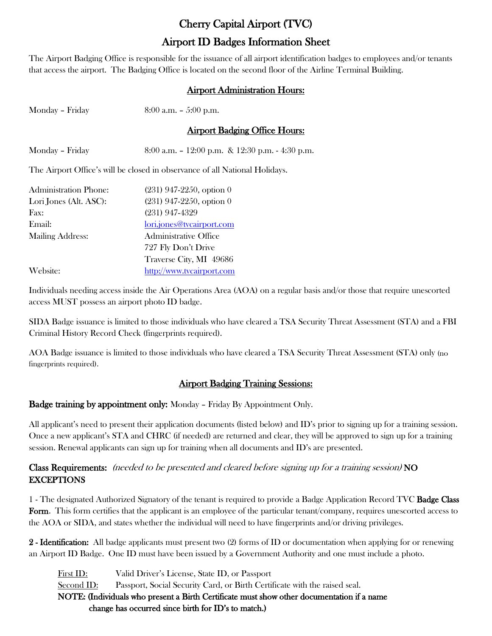# Cherry Capital Airport (TVC) Airport ID Badges Information Sheet

The Airport Badging Office is responsible for the issuance of all airport identification badges to employees and/or tenants that access the airport. The Badging Office is located on the second floor of the Airline Terminal Building.

### Airport Administration Hours:

| Monday - Friday        | $8:00$ a.m. $-5:00$ p.m.                                                    |
|------------------------|-----------------------------------------------------------------------------|
|                        | <b>Airport Badging Office Hours:</b>                                        |
| Monday - Friday        | 8:00 a.m. $-12:00$ p.m. & 12:30 p.m. $-4:30$ p.m.                           |
|                        | The Airport Office's will be closed in observance of all National Holidays. |
| Administration Phone:  | $(231)$ 947-2250, option 0                                                  |
| Lori Jones (Alt. ASC): | $(231)$ 947-2250, option 0                                                  |
| Fax:                   | $(231)$ 947-4329                                                            |
| Email:                 | lori.jones@tvcairport.com                                                   |
| Mailing Address:       | Administrative Office                                                       |
|                        | 727 Fly Don't Drive                                                         |
|                        | Traverse City, MI 49686                                                     |
| Website:               | http://www.tvcairport.com                                                   |

Individuals needing access inside the Air Operations Area (AOA) on a regular basis and/or those that require unescorted access MUST possess an airport photo ID badge.

SIDA Badge issuance is limited to those individuals who have cleared a TSA Security Threat Assessment (STA) and a FBI Criminal History Record Check (fingerprints required).

AOA Badge issuance is limited to those individuals who have cleared a TSA Security Threat Assessment (STA) only (no fingerprints required).

## Airport Badging Training Sessions:

#### Badge training by appointment only: Monday – Friday By Appointment Only.

All applicant's need to present their application documents (listed below) and ID's prior to signing up for a training session. Once a new applicant's STA and CHRC (if needed) are returned and clear, they will be approved to sign up for a training session. Renewal applicants can sign up for training when all documents and ID's are presented.

### Class Requirements: (needed to be presented and cleared before signing up for a training session) NO **EXCEPTIONS**

1 - The designated Authorized Signatory of the tenant is required to provide a Badge Application Record TVC Badge Class Form. This form certifies that the applicant is an employee of the particular tenant/company, requires unescorted access to the AOA or SIDA, and states whether the individual will need to have fingerprints and/or driving privileges.

2 - Identification: All badge applicants must present two (2) forms of ID or documentation when applying for or renewing an Airport ID Badge. One ID must have been issued by a Government Authority and one must include a photo.

First ID: Valid Driver's License, State ID, or Passport Second ID: Passport, Social Security Card, or Birth Certificate with the raised seal. NOTE: (Individuals who present a Birth Certificate must show other documentation if a name change has occurred since birth for ID's to match.)